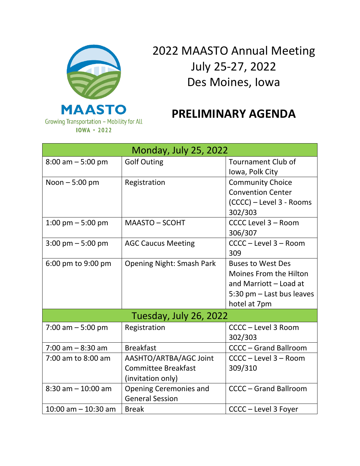

2022 MAASTO Annual Meeting July 25-27, 2022 Des Moines, Iowa

## **PRELIMINARY AGENDA**

| <b>Monday, July 25, 2022</b>           |                                                                           |                                                                                                                  |  |  |
|----------------------------------------|---------------------------------------------------------------------------|------------------------------------------------------------------------------------------------------------------|--|--|
| $8:00$ am $-5:00$ pm                   | <b>Golf Outing</b>                                                        | <b>Tournament Club of</b><br>Iowa, Polk City                                                                     |  |  |
| Noon $-5:00$ pm                        | Registration                                                              | <b>Community Choice</b><br><b>Convention Center</b>                                                              |  |  |
|                                        |                                                                           | (CCCC) - Level 3 - Rooms<br>302/303                                                                              |  |  |
| 1:00 pm $-$ 5:00 pm                    | <b>MAASTO - SCOHT</b>                                                     | CCCC Level 3 - Room<br>306/307                                                                                   |  |  |
| $3:00 \text{ pm} - 5:00 \text{ pm}$    | <b>AGC Caucus Meeting</b>                                                 | CCCC - Level 3 - Room<br>309                                                                                     |  |  |
| 6:00 pm to 9:00 pm                     | <b>Opening Night: Smash Park</b>                                          | <b>Buses to West Des</b><br><b>Moines From the Hilton</b><br>and Marriott - Load at<br>5:30 pm - Last bus leaves |  |  |
| hotel at 7pm<br>Tuesday, July 26, 2022 |                                                                           |                                                                                                                  |  |  |
| 7:00 am $-5:00$ pm                     | Registration                                                              | CCCC - Level 3 Room<br>302/303                                                                                   |  |  |
| $7:00$ am $-8:30$ am                   | <b>Breakfast</b>                                                          | <b>CCCC - Grand Ballroom</b>                                                                                     |  |  |
| 7:00 am to 8:00 am                     | AASHTO/ARTBA/AGC Joint<br><b>Committee Breakfast</b><br>(invitation only) | CCCC - Level 3 - Room<br>309/310                                                                                 |  |  |
| $8:30$ am $-10:00$ am                  | <b>Opening Ceremonies and</b><br><b>General Session</b>                   | <b>CCCC - Grand Ballroom</b>                                                                                     |  |  |
| $10:00$ am $- 10:30$ am                | <b>Break</b>                                                              | CCCC - Level 3 Foyer                                                                                             |  |  |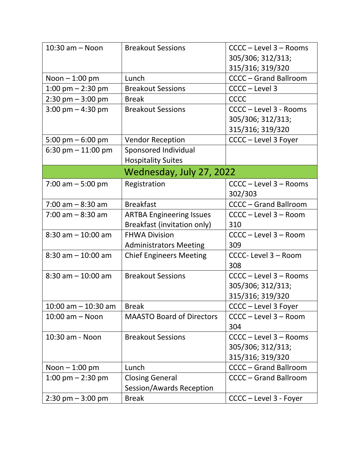| $10:30$ am $-$ Noon                 | <b>Breakout Sessions</b>         | CCCC - Level 3 - Rooms       |  |  |
|-------------------------------------|----------------------------------|------------------------------|--|--|
|                                     |                                  | 305/306; 312/313;            |  |  |
|                                     |                                  | 315/316; 319/320             |  |  |
| Noon $-1:00$ pm                     | Lunch                            | <b>CCCC - Grand Ballroom</b> |  |  |
| 1:00 pm $-$ 2:30 pm                 | <b>Breakout Sessions</b>         | CCCC - Level 3               |  |  |
| $2:30$ pm $-3:00$ pm                | <b>Break</b>                     | <b>CCCC</b>                  |  |  |
| $3:00 \text{ pm} - 4:30 \text{ pm}$ | <b>Breakout Sessions</b>         | CCCC - Level 3 - Rooms       |  |  |
|                                     |                                  | 305/306; 312/313;            |  |  |
|                                     |                                  | 315/316; 319/320             |  |  |
| 5:00 pm $-$ 6:00 pm                 | <b>Vendor Reception</b>          | CCCC - Level 3 Foyer         |  |  |
| 6:30 pm $-$ 11:00 pm                | Sponsored Individual             |                              |  |  |
|                                     | <b>Hospitality Suites</b>        |                              |  |  |
| Wednesday, July 27, 2022            |                                  |                              |  |  |
| 7:00 am $-5:00$ pm                  | Registration                     | CCCC - Level 3 - Rooms       |  |  |
|                                     |                                  | 302/303                      |  |  |
| $7:00$ am $-8:30$ am                | <b>Breakfast</b>                 | <b>CCCC - Grand Ballroom</b> |  |  |
| $7:00$ am $-8:30$ am                | <b>ARTBA Engineering Issues</b>  | CCCC - Level 3 - Room        |  |  |
|                                     | Breakfast (invitation only)      | 310                          |  |  |
| $8:30$ am $-10:00$ am               | <b>FHWA Division</b>             | CCCC - Level 3 - Room        |  |  |
|                                     | <b>Administrators Meeting</b>    | 309                          |  |  |
| $8:30$ am $-10:00$ am               | <b>Chief Engineers Meeting</b>   | CCCC- Level 3 - Room         |  |  |
|                                     |                                  | 308                          |  |  |
| $8:30$ am $-10:00$ am               | <b>Breakout Sessions</b>         | CCCC - Level 3 - Rooms       |  |  |
|                                     |                                  | 305/306; 312/313;            |  |  |
|                                     |                                  | 315/316; 319/320             |  |  |
| 10:00 am $-$ 10:30 am   Break       |                                  | CCCC - Level 3 Foyer         |  |  |
| $10:00$ am $-$ Noon                 | <b>MAASTO Board of Directors</b> | CCCC - Level 3 - Room        |  |  |
|                                     |                                  | 304                          |  |  |
| 10:30 am - Noon                     | <b>Breakout Sessions</b>         | CCCC - Level 3 - Rooms       |  |  |
|                                     |                                  | 305/306; 312/313;            |  |  |
|                                     |                                  | 315/316; 319/320             |  |  |
| Noon $-1:00$ pm                     | Lunch                            | <b>CCCC - Grand Ballroom</b> |  |  |
| 1:00 pm $-$ 2:30 pm                 | <b>Closing General</b>           | <b>CCCC - Grand Ballroom</b> |  |  |
|                                     | Session/Awards Reception         |                              |  |  |
| $2:30 \text{ pm} - 3:00 \text{ pm}$ | <b>Break</b>                     | CCCC - Level 3 - Foyer       |  |  |